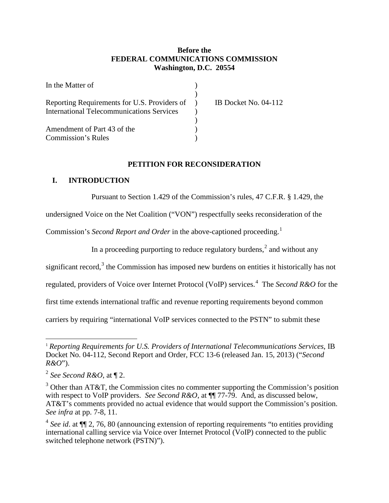## **Before the FEDERAL COMMUNICATIONS COMMISSION Washington, D.C. 20554**

| In the Matter of                                 |                             |
|--------------------------------------------------|-----------------------------|
|                                                  |                             |
| Reporting Requirements for U.S. Providers of )   | <b>IB Docket No. 04-112</b> |
| <b>International Telecommunications Services</b> |                             |
|                                                  |                             |
| Amendment of Part 43 of the                      |                             |
| <b>Commission's Rules</b>                        |                             |

### **PETITION FOR RECONSIDERATION**

#### **I. INTRODUCTION**

Pursuant to Section 1.429 of the Commission's rules, 47 C.F.R. § 1.429, the

undersigned Voice on the Net Coalition ("VON") respectfully seeks reconsideration of the

Commission's *Second Report and Order* in the above-captioned proceeding.<sup>1</sup>

In a proceeding purporting to reduce regulatory burdens,<sup>2</sup> and without any

significant record, $3$  the Commission has imposed new burdens on entities it historically has not

regulated, providers of Voice over Internet Protocol (VoIP) services.<sup>4</sup> The *Second R&O* for the

first time extends international traffic and revenue reporting requirements beyond common

carriers by requiring "international VoIP services connected to the PSTN" to submit these

<sup>1</sup> *Reporting Requirements for U.S. Providers of International Telecommunications Services*, IB Docket No. 04-112, Second Report and Order, FCC 13-6 (released Jan. 15, 2013) ("*Second R&O*").

<sup>2</sup> *See Second R&O*, at ¶ 2.

 $3$  Other than AT&T, the Commission cites no commenter supporting the Commission's position with respect to VoIP providers. *See Second R&O*, at ¶¶ 77-79. And, as discussed below, AT&T's comments provided no actual evidence that would support the Commission's position. *See infra* at pp. 7-8, 11.

<sup>4</sup> *See id*. at ¶¶ 2, 76, 80 (announcing extension of reporting requirements "to entities providing international calling service via Voice over Internet Protocol (VoIP) connected to the public switched telephone network (PSTN)").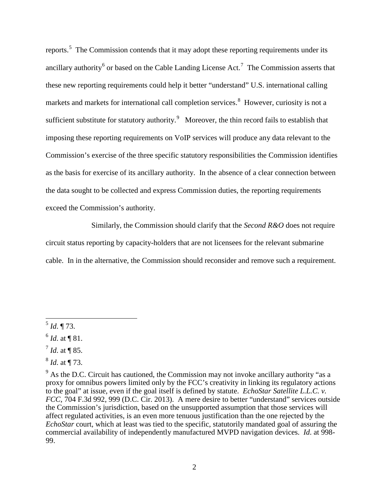reports.<sup>5</sup> The Commission contends that it may adopt these reporting requirements under its ancillary authority<sup>6</sup> or based on the Cable Landing License Act.<sup>7</sup> The Commission asserts that these new reporting requirements could help it better "understand" U.S. international calling markets and markets for international call completion services.<sup>8</sup> However, curiosity is not a sufficient substitute for statutory authority. Moreover, the thin record fails to establish that imposing these reporting requirements on VoIP services will produce any data relevant to the Commission's exercise of the three specific statutory responsibilities the Commission identifies as the basis for exercise of its ancillary authority. In the absence of a clear connection between the data sought to be collected and express Commission duties, the reporting requirements exceed the Commission's authority.

Similarly, the Commission should clarify that the *Second R&O* does not require circuit status reporting by capacity-holders that are not licensees for the relevant submarine cable. In in the alternative, the Commission should reconsider and remove such a requirement.

- $^{7}$  *Id.* at ¶ 85.
- <sup>8</sup> *Id*. at ¶ 73.

 $\overline{a}$ <sup>5</sup> *Id*. ¶ 73.

<sup>6</sup> *Id*. at ¶ 81.

 $9<sup>9</sup>$  As the D.C. Circuit has cautioned, the Commission may not invoke ancillary authority "as a proxy for omnibus powers limited only by the FCC's creativity in linking its regulatory actions to the goal" at issue, even if the goal itself is defined by statute. *EchoStar Satellite L.L.C. v. FCC*, 704 F.3d 992, 999 (D.C. Cir. 2013). A mere desire to better "understand" services outside the Commission's jurisdiction, based on the unsupported assumption that those services will affect regulated activities, is an even more tenuous justification than the one rejected by the *EchoStar* court, which at least was tied to the specific, statutorily mandated goal of assuring the commercial availability of independently manufactured MVPD navigation devices. *Id*. at 998- 99.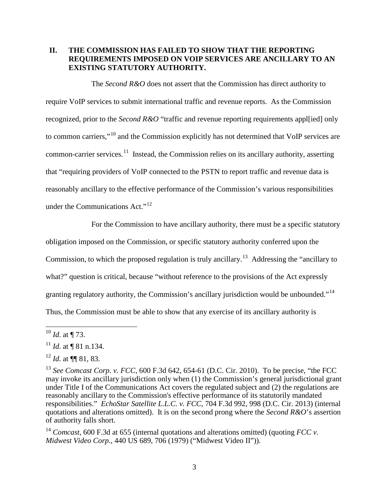## **II. THE COMMISSION HAS FAILED TO SHOW THAT THE REPORTING REQUIREMENTS IMPOSED ON VOIP SERVICES ARE ANCILLARY TO AN EXISTING STATUTORY AUTHORITY.**

The *Second R&O* does not assert that the Commission has direct authority to require VoIP services to submit international traffic and revenue reports. As the Commission recognized, prior to the *Second R&O* "traffic and revenue reporting requirements appl[ied] only to common carriers,"<sup>10</sup> and the Commission explicitly has not determined that VoIP services are common-carrier services.<sup>11</sup> Instead, the Commission relies on its ancillary authority, asserting that "requiring providers of VoIP connected to the PSTN to report traffic and revenue data is reasonably ancillary to the effective performance of the Commission's various responsibilities under the Communications Act."<sup>12</sup>

For the Commission to have ancillary authority, there must be a specific statutory obligation imposed on the Commission, or specific statutory authority conferred upon the Commission, to which the proposed regulation is truly ancillary.<sup>13</sup> Addressing the "ancillary to" what?" question is critical, because "without reference to the provisions of the Act expressly granting regulatory authority, the Commission's ancillary jurisdiction would be unbounded."<sup>14</sup> Thus, the Commission must be able to show that any exercise of its ancillary authority is

 $\overline{a}$ 

<sup>14</sup> *Comcast*, 600 F.3d at 655 (internal quotations and alterations omitted) (quoting *FCC v. Midwest Video Corp.*, 440 US 689, 706 (1979) ("Midwest Video II")).

 $^{10}$  *Id.* at ¶ 73.

<sup>11</sup> *Id*. at ¶ 81 n.134.

<sup>12</sup> *Id*. at ¶¶ 81, 83.

<sup>13</sup> *See Comcast Corp. v. FCC*, 600 F.3d 642, 654-61 (D.C. Cir. 2010). To be precise, "the FCC may invoke its ancillary jurisdiction only when (1) the Commission's general jurisdictional grant under Title I of the Communications Act covers the regulated subject and (2) the regulations are reasonably ancillary to the Commission's effective performance of its statutorily mandated responsibilities." *EchoStar Satellite L.L.C. v. FCC*, 704 F.3d 992, 998 (D.C. Cir. 2013) (internal quotations and alterations omitted). It is on the second prong where the *Second R&O*'s assertion of authority falls short.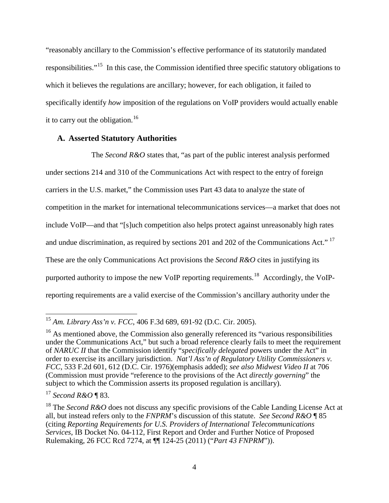"reasonably ancillary to the Commission's effective performance of its statutorily mandated responsibilities."15 In this case, the Commission identified three specific statutory obligations to which it believes the regulations are ancillary; however, for each obligation, it failed to specifically identify *how* imposition of the regulations on VoIP providers would actually enable it to carry out the obligation.<sup>16</sup>

#### **A. Asserted Statutory Authorities**

The *Second R&O* states that, "as part of the public interest analysis performed under sections 214 and 310 of the Communications Act with respect to the entry of foreign carriers in the U.S. market," the Commission uses Part 43 data to analyze the state of competition in the market for international telecommunications services—a market that does not include VoIP—and that "[s]uch competition also helps protect against unreasonably high rates and undue discrimination, as required by sections 201 and 202 of the Communications Act."<sup>17</sup> These are the only Communications Act provisions the *Second R&O* cites in justifying its purported authority to impose the new VoIP reporting requirements.<sup>18</sup> Accordingly, the VoIPreporting requirements are a valid exercise of the Commission's ancillary authority under the

 $\overline{\phantom{a}}$ <sup>15</sup> *Am. Library Ass'n v. FCC*, 406 F.3d 689, 691-92 (D.C. Cir. 2005).

 $16$  As mentioned above, the Commission also generally referenced its "various responsibilities under the Communications Act," but such a broad reference clearly fails to meet the requirement of *NARUC II* that the Commission identify "*specifically delegated* powers under the Act" in order to exercise its ancillary jurisdiction. *Nat'l Ass'n of Regulatory Utility Commissioners v. FCC*, 533 F.2d 601, 612 (D.C. Cir. 1976)(emphasis added); *see also Midwest Video II* at 706 (Commission must provide "reference to the provisions of the Act *directly governing*" the subject to which the Commission asserts its proposed regulation is ancillary).

<sup>17</sup> *Second R&O* ¶ 83.

<sup>&</sup>lt;sup>18</sup> The *Second R&O* does not discuss any specific provisions of the Cable Landing License Act at all, but instead refers only to the *FNPRM*'s discussion of this statute. *See Second R&O* ¶ 85 (citing *Reporting Requirements for U.S. Providers of International Telecommunications Services*, IB Docket No. 04-112, First Report and Order and Further Notice of Proposed Rulemaking, 26 FCC Rcd 7274, at ¶¶ 124-25 (2011) ("*Part 43 FNPRM*")).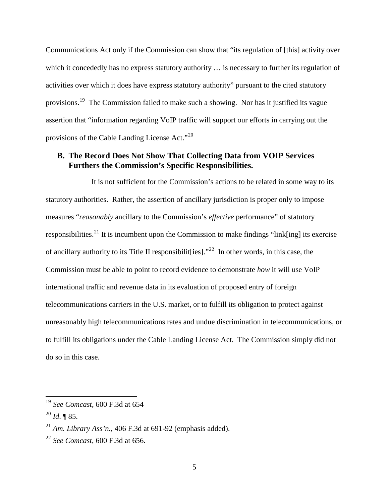Communications Act only if the Commission can show that "its regulation of [this] activity over which it concededly has no express statutory authority ... is necessary to further its regulation of activities over which it does have express statutory authority" pursuant to the cited statutory provisions.19 The Commission failed to make such a showing. Nor has it justified its vague assertion that "information regarding VoIP traffic will support our efforts in carrying out the provisions of the Cable Landing License Act."20

## **B. The Record Does Not Show That Collecting Data from VOIP Services Furthers the Commission's Specific Responsibilities.**

It is not sufficient for the Commission's actions to be related in some way to its statutory authorities. Rather, the assertion of ancillary jurisdiction is proper only to impose measures "*reasonably* ancillary to the Commission's *effective* performance" of statutory responsibilities.<sup>21</sup> It is incumbent upon the Commission to make findings "link[ing] its exercise of ancillary authority to its Title II responsibilit [ies]."<sup>22</sup> In other words, in this case, the Commission must be able to point to record evidence to demonstrate *how* it will use VoIP international traffic and revenue data in its evaluation of proposed entry of foreign telecommunications carriers in the U.S. market, or to fulfill its obligation to protect against unreasonably high telecommunications rates and undue discrimination in telecommunications, or to fulfill its obligations under the Cable Landing License Act. The Commission simply did not do so in this case.

<sup>19</sup> *See Comcast*, 600 F.3d at 654

<sup>20</sup> *Id*. ¶ 85.

<sup>&</sup>lt;sup>21</sup> *Am. Library Ass'n.*, 406 F.3d at 691-92 (emphasis added).

<sup>22</sup> *See Comcast*, 600 F.3d at 656.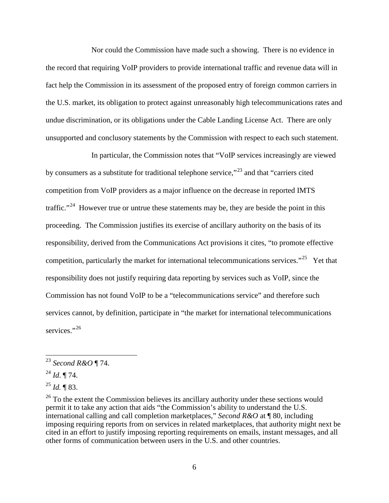Nor could the Commission have made such a showing. There is no evidence in the record that requiring VoIP providers to provide international traffic and revenue data will in fact help the Commission in its assessment of the proposed entry of foreign common carriers in the U.S. market, its obligation to protect against unreasonably high telecommunications rates and undue discrimination, or its obligations under the Cable Landing License Act. There are only unsupported and conclusory statements by the Commission with respect to each such statement.

In particular, the Commission notes that "VoIP services increasingly are viewed by consumers as a substitute for traditional telephone service,"<sup>23</sup> and that "carriers cited competition from VoIP providers as a major influence on the decrease in reported IMTS traffic."<sup>24</sup> However true or untrue these statements may be, they are beside the point in this proceeding. The Commission justifies its exercise of ancillary authority on the basis of its responsibility, derived from the Communications Act provisions it cites, "to promote effective competition, particularly the market for international telecommunications services."<sup>25</sup> Yet that responsibility does not justify requiring data reporting by services such as VoIP, since the Commission has not found VoIP to be a "telecommunications service" and therefore such services cannot, by definition, participate in "the market for international telecommunications services."<sup>26</sup>

<sup>23</sup> *Second R&O* ¶ 74.

<sup>24</sup> *Id*. ¶ 74.

<sup>25</sup> *Id.* ¶ 83.

<sup>&</sup>lt;sup>26</sup> To the extent the Commission believes its ancillary authority under these sections would permit it to take any action that aids "the Commission's ability to understand the U.S. international calling and call completion marketplaces," *Second R&O* at ¶ 80, including imposing requiring reports from on services in related marketplaces, that authority might next be cited in an effort to justify imposing reporting requirements on emails, instant messages, and all other forms of communication between users in the U.S. and other countries.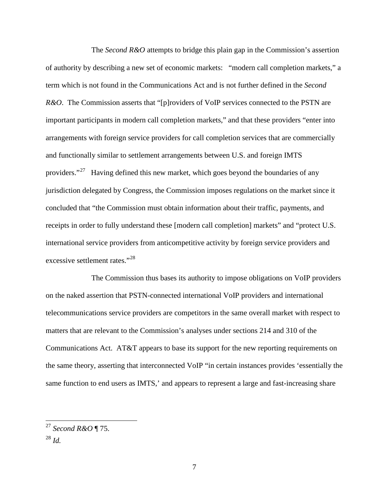The *Second R&O* attempts to bridge this plain gap in the Commission's assertion of authority by describing a new set of economic markets: "modern call completion markets," a term which is not found in the Communications Act and is not further defined in the *Second R&O*. The Commission asserts that "[p]roviders of VoIP services connected to the PSTN are important participants in modern call completion markets," and that these providers "enter into arrangements with foreign service providers for call completion services that are commercially and functionally similar to settlement arrangements between U.S. and foreign IMTS providers."<sup>27</sup> Having defined this new market, which goes beyond the boundaries of any jurisdiction delegated by Congress, the Commission imposes regulations on the market since it concluded that "the Commission must obtain information about their traffic, payments, and receipts in order to fully understand these [modern call completion] markets" and "protect U.S. international service providers from anticompetitive activity by foreign service providers and excessive settlement rates."<sup>28</sup>

The Commission thus bases its authority to impose obligations on VoIP providers on the naked assertion that PSTN-connected international VoIP providers and international telecommunications service providers are competitors in the same overall market with respect to matters that are relevant to the Commission's analyses under sections 214 and 310 of the Communications Act. AT&T appears to base its support for the new reporting requirements on the same theory, asserting that interconnected VoIP "in certain instances provides 'essentially the same function to end users as IMTS,' and appears to represent a large and fast-increasing share

<sup>28</sup> *Id.*

<sup>27</sup> *Second R&O* ¶ 75.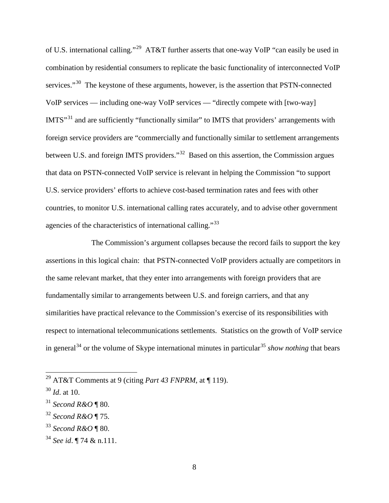of U.S. international calling."29 AT&T further asserts that one-way VoIP "can easily be used in combination by residential consumers to replicate the basic functionality of interconnected VoIP services."<sup>30</sup> The keystone of these arguments, however, is the assertion that PSTN-connected VoIP services — including one-way VoIP services — "directly compete with [two-way] IMTS"<sup>31</sup> and are sufficiently "functionally similar" to IMTS that providers' arrangements with foreign service providers are "commercially and functionally similar to settlement arrangements between U.S. and foreign IMTS providers."32 Based on this assertion, the Commission argues that data on PSTN-connected VoIP service is relevant in helping the Commission "to support U.S. service providers' efforts to achieve cost-based termination rates and fees with other countries, to monitor U.S. international calling rates accurately, and to advise other government agencies of the characteristics of international calling."<sup>33</sup>

The Commission's argument collapses because the record fails to support the key assertions in this logical chain: that PSTN-connected VoIP providers actually are competitors in the same relevant market, that they enter into arrangements with foreign providers that are fundamentally similar to arrangements between U.S. and foreign carriers, and that any similarities have practical relevance to the Commission's exercise of its responsibilities with respect to international telecommunications settlements. Statistics on the growth of VoIP service in general<sup>34</sup> or the volume of Skype international minutes in particular<sup>35</sup> *show nothing* that bears

<sup>29</sup> AT&T Comments at 9 (citing *Part 43 FNPRM*, at ¶ 119).

<sup>30</sup> *Id*. at 10.

<sup>31</sup> *Second R&O* ¶ 80.

<sup>32</sup> *Second R&O* ¶ 75.

<sup>33</sup> *Second R&O* ¶ 80.

<sup>34</sup> *See id*. ¶ 74 & n.111.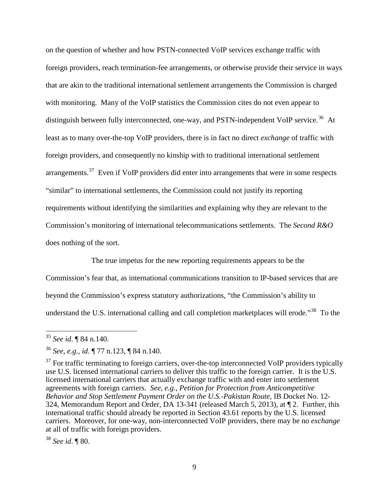on the question of whether and how PSTN-connected VoIP services exchange traffic with foreign providers, reach termination-fee arrangements, or otherwise provide their service in ways that are akin to the traditional international settlement arrangements the Commission is charged with monitoring. Many of the VoIP statistics the Commission cites do not even appear to distinguish between fully interconnected, one-way, and PSTN-independent VoIP service.<sup>36</sup> At least as to many over-the-top VoIP providers, there is in fact no direct *exchange* of traffic with foreign providers, and consequently no kinship with to traditional international settlement arrangements.37 Even if VoIP providers did enter into arrangements that were in some respects "similar" to international settlements, the Commission could not justify its reporting requirements without identifying the similarities and explaining why they are relevant to the Commission's monitoring of international telecommunications settlements. The *Second R&O* does nothing of the sort.

The true impetus for the new reporting requirements appears to be the

Commission's fear that, as international communications transition to IP-based services that are beyond the Commission's express statutory authorizations, "the Commission's ability to understand the U.S. international calling and call completion marketplaces will erode."<sup>38</sup> To the

 $\overline{a}$ 

<sup>38</sup> *See id*. ¶ 80.

<sup>35</sup> *See id*. ¶ 84 n.140.

<sup>36</sup> *See*, *e.g.*, *id*. ¶ 77 n.123, ¶ 84 n.140.

 $37$  For traffic terminating to foreign carriers, over-the-top interconnected VoIP providers typically use U.S. licensed international carriers to deliver this traffic to the foreign carrier. It is the U.S. licensed international carriers that actually exchange traffic with and enter into settlement agreements with foreign carriers. *See, e.g.*, *Petition for Protection from Anticompetitive Behavior and Stop Settlement Payment Order on the U.S.-Pakistan Route*, IB Docket No. 12- 324, Memorandum Report and Order, DA 13-341 (released March 5, 2013), at ¶ 2. Further, this international traffic should already be reported in Section 43.61 reports by the U.S. licensed carriers. Moreover, for one-way, non-interconnected VoIP providers, there may be no *exchange* at all of traffic with foreign providers.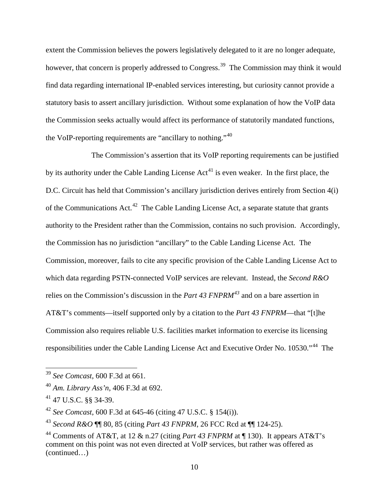extent the Commission believes the powers legislatively delegated to it are no longer adequate, however, that concern is properly addressed to Congress.<sup>39</sup> The Commission may think it would find data regarding international IP-enabled services interesting, but curiosity cannot provide a statutory basis to assert ancillary jurisdiction. Without some explanation of how the VoIP data the Commission seeks actually would affect its performance of statutorily mandated functions, the VoIP-reporting requirements are "ancillary to nothing."<sup>40</sup>

The Commission's assertion that its VoIP reporting requirements can be justified by its authority under the Cable Landing License  $Act^{41}$  is even weaker. In the first place, the D.C. Circuit has held that Commission's ancillary jurisdiction derives entirely from Section 4(i) of the Communications Act.<sup>42</sup> The Cable Landing License Act, a separate statute that grants authority to the President rather than the Commission, contains no such provision. Accordingly, the Commission has no jurisdiction "ancillary" to the Cable Landing License Act. The Commission, moreover, fails to cite any specific provision of the Cable Landing License Act to which data regarding PSTN-connected VoIP services are relevant. Instead, the *Second R&O* relies on the Commission's discussion in the *Part 43 FNPRM<sup>43</sup>* and on a bare assertion in AT&T's comments—itself supported only by a citation to the *Part 43 FNPRM*—that "[t]he Commission also requires reliable U.S. facilities market information to exercise its licensing responsibilities under the Cable Landing License Act and Executive Order No. 10530."44 The

<sup>39</sup> *See Comcast*, 600 F.3d at 661.

<sup>40</sup> *Am. Library Ass'n*, 406 F.3d at 692.

<sup>41 47</sup> U.S.C. §§ 34-39.

<sup>42</sup> *See Comcast*, 600 F.3d at 645-46 (citing 47 U.S.C. § 154(i)).

<sup>43</sup> *Second R&O* ¶¶ 80, 85 (citing *Part 43 FNPRM*, 26 FCC Rcd at ¶¶ 124-25).

<sup>44</sup> Comments of AT&T, at 12 & n.27 (citing *Part 43 FNPRM* at ¶ 130). It appears AT&T's comment on this point was not even directed at VoIP services, but rather was offered as (continued…)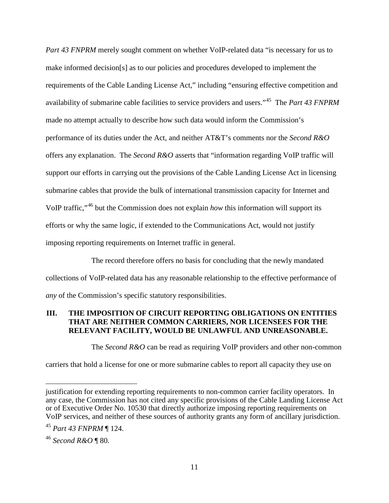*Part 43 FNPRM* merely sought comment on whether VoIP-related data "is necessary for us to make informed decision[s] as to our policies and procedures developed to implement the requirements of the Cable Landing License Act," including "ensuring effective competition and availability of submarine cable facilities to service providers and users."45 The *Part 43 FNPRM* made no attempt actually to describe how such data would inform the Commission's performance of its duties under the Act, and neither AT&T's comments nor the *Second R&O* offers any explanation. The *Second R&O* asserts that "information regarding VoIP traffic will support our efforts in carrying out the provisions of the Cable Landing License Act in licensing submarine cables that provide the bulk of international transmission capacity for Internet and VoIP traffic,"46 but the Commission does not explain *how* this information will support its efforts or why the same logic, if extended to the Communications Act, would not justify imposing reporting requirements on Internet traffic in general.

The record therefore offers no basis for concluding that the newly mandated collections of VoIP-related data has any reasonable relationship to the effective performance of *any* of the Commission's specific statutory responsibilities.

## **III. THE IMPOSITION OF CIRCUIT REPORTING OBLIGATIONS ON ENTITIES THAT ARE NEITHER COMMON CARRIERS, NOR LICENSEES FOR THE RELEVANT FACILITY, WOULD BE UNLAWFUL AND UNREASONABLE.**

The *Second R&O* can be read as requiring VoIP providers and other non-common

carriers that hold a license for one or more submarine cables to report all capacity they use on

justification for extending reporting requirements to non-common carrier facility operators. In any case, the Commission has not cited any specific provisions of the Cable Landing License Act or of Executive Order No. 10530 that directly authorize imposing reporting requirements on VoIP services, and neither of these sources of authority grants any form of ancillary jurisdiction.

<sup>45</sup> *Part 43 FNPRM* ¶ 124.

<sup>46</sup> *Second R&O* ¶ 80.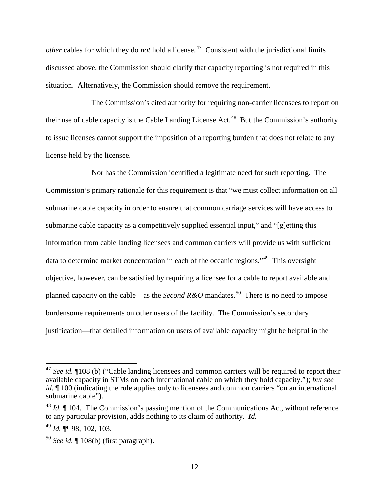*other* cables for which they do *not* hold a license.<sup>47</sup> Consistent with the jurisdictional limits discussed above, the Commission should clarify that capacity reporting is not required in this situation. Alternatively, the Commission should remove the requirement.

The Commission's cited authority for requiring non-carrier licensees to report on their use of cable capacity is the Cable Landing License Act.<sup>48</sup> But the Commission's authority to issue licenses cannot support the imposition of a reporting burden that does not relate to any license held by the licensee.

Nor has the Commission identified a legitimate need for such reporting. The Commission's primary rationale for this requirement is that "we must collect information on all submarine cable capacity in order to ensure that common carriage services will have access to submarine cable capacity as a competitively supplied essential input," and "[g]etting this information from cable landing licensees and common carriers will provide us with sufficient data to determine market concentration in each of the oceanic regions."<sup>49</sup> This oversight objective, however, can be satisfied by requiring a licensee for a cable to report available and planned capacity on the cable—as the *Second R&O* mandates.<sup>50</sup> There is no need to impose burdensome requirements on other users of the facility. The Commission's secondary justification—that detailed information on users of available capacity might be helpful in the

<sup>47</sup> *See id.* ¶108 (b) ("Cable landing licensees and common carriers will be required to report their available capacity in STMs on each international cable on which they hold capacity."); *but see id.*  $\parallel$  100 (indicating the rule applies only to licensees and common carriers "on an international submarine cable").

<sup>&</sup>lt;sup>48</sup> *Id.*  $\blacksquare$  104. The Commission's passing mention of the Communications Act, without reference to any particular provision, adds nothing to its claim of authority. *Id.*

<sup>49</sup> *Id.* ¶¶ 98, 102, 103.

<sup>50</sup> *See id.* ¶ 108(b) (first paragraph).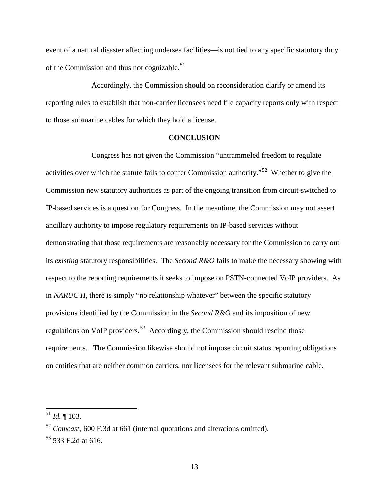event of a natural disaster affecting undersea facilities—is not tied to any specific statutory duty of the Commission and thus not cognizable.<sup>51</sup>

Accordingly, the Commission should on reconsideration clarify or amend its reporting rules to establish that non-carrier licensees need file capacity reports only with respect to those submarine cables for which they hold a license.

#### **CONCLUSION**

Congress has not given the Commission "untrammeled freedom to regulate activities over which the statute fails to confer Commission authority."52 Whether to give the Commission new statutory authorities as part of the ongoing transition from circuit-switched to IP-based services is a question for Congress. In the meantime, the Commission may not assert ancillary authority to impose regulatory requirements on IP-based services without demonstrating that those requirements are reasonably necessary for the Commission to carry out its *existing* statutory responsibilities. The *Second R&O* fails to make the necessary showing with respect to the reporting requirements it seeks to impose on PSTN-connected VoIP providers. As in *NARUC II*, there is simply "no relationship whatever" between the specific statutory provisions identified by the Commission in the *Second R&O* and its imposition of new regulations on VoIP providers.<sup>53</sup> Accordingly, the Commission should rescind those requirements. The Commission likewise should not impose circuit status reporting obligations on entities that are neither common carriers, nor licensees for the relevant submarine cable.

<sup>51</sup> *Id.* ¶ 103.

<sup>52</sup> *Comcast*, 600 F.3d at 661 (internal quotations and alterations omitted).

<sup>&</sup>lt;sup>53</sup> 533 F.2d at 616.